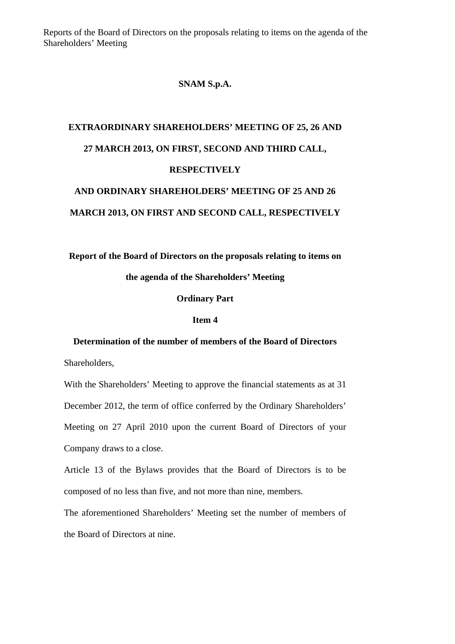Reports of the Board of Directors on the proposals relating to items on the agenda of the Shareholders' Meeting

#### **SNAM S.p.A.**

## **EXTRAORDINARY SHAREHOLDERS' MEETING OF 25, 26 AND 27 MARCH 2013, ON FIRST, SECOND AND THIRD CALL, RESPECTIVELY AND ORDINARY SHAREHOLDERS' MEETING OF 25 AND 26**

# **MARCH 2013, ON FIRST AND SECOND CALL, RESPECTIVELY**

### **Report of the Board of Directors on the proposals relating to items on**

#### **the agenda of the Shareholders' Meeting**

#### **Ordinary Part**

#### **Item 4**

#### **Determination of the number of members of the Board of Directors**

Shareholders,

With the Shareholders' Meeting to approve the financial statements as at 31 December 2012, the term of office conferred by the Ordinary Shareholders' Meeting on 27 April 2010 upon the current Board of Directors of your Company draws to a close.

Article 13 of the Bylaws provides that the Board of Directors is to be composed of no less than five, and not more than nine, members.

The aforementioned Shareholders' Meeting set the number of members of the Board of Directors at nine.